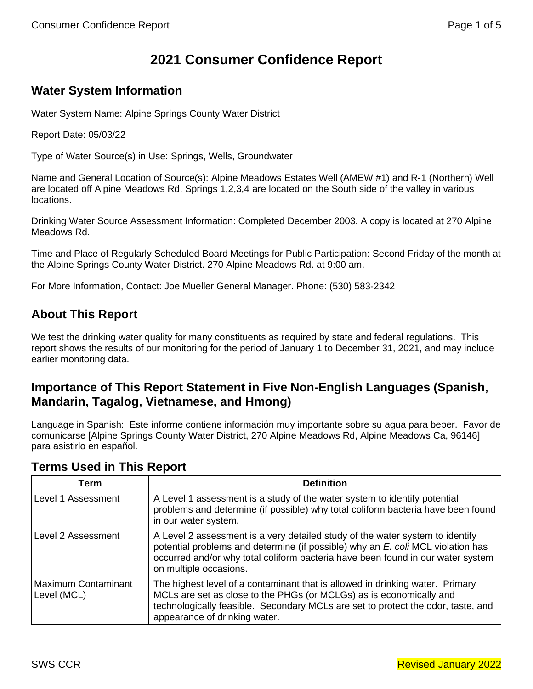# **2021 Consumer Confidence Report**

# **Water System Information**

Water System Name: Alpine Springs County Water District

Report Date: 05/03/22

Type of Water Source(s) in Use: Springs, Wells, Groundwater

Name and General Location of Source(s): Alpine Meadows Estates Well (AMEW #1) and R-1 (Northern) Well are located off Alpine Meadows Rd. Springs 1,2,3,4 are located on the South side of the valley in various locations.

Drinking Water Source Assessment Information: Completed December 2003. A copy is located at 270 Alpine Meadows Rd.

Time and Place of Regularly Scheduled Board Meetings for Public Participation: Second Friday of the month at the Alpine Springs County Water District. 270 Alpine Meadows Rd. at 9:00 am.

For More Information, Contact: Joe Mueller General Manager. Phone: (530) 583-2342

# **About This Report**

We test the drinking water quality for many constituents as required by state and federal regulations. This report shows the results of our monitoring for the period of January 1 to December 31, 2021, and may include earlier monitoring data.

### **Importance of This Report Statement in Five Non-English Languages (Spanish, Mandarin, Tagalog, Vietnamese, and Hmong)**

Language in Spanish: Este informe contiene información muy importante sobre su agua para beber. Favor de comunicarse [Alpine Springs County Water District, 270 Alpine Meadows Rd, Alpine Meadows Ca, 96146] para asistirlo en español.

### **Terms Used in This Report**

| Term                                      | <b>Definition</b>                                                                                                                                                                                                                                                             |
|-------------------------------------------|-------------------------------------------------------------------------------------------------------------------------------------------------------------------------------------------------------------------------------------------------------------------------------|
| Level 1 Assessment                        | A Level 1 assessment is a study of the water system to identify potential<br>problems and determine (if possible) why total coliform bacteria have been found<br>in our water system.                                                                                         |
| Level 2 Assessment                        | A Level 2 assessment is a very detailed study of the water system to identify<br>potential problems and determine (if possible) why an E. coli MCL violation has<br>occurred and/or why total coliform bacteria have been found in our water system<br>on multiple occasions. |
| <b>Maximum Contaminant</b><br>Level (MCL) | The highest level of a contaminant that is allowed in drinking water. Primary<br>MCLs are set as close to the PHGs (or MCLGs) as is economically and<br>technologically feasible. Secondary MCLs are set to protect the odor, taste, and<br>appearance of drinking water.     |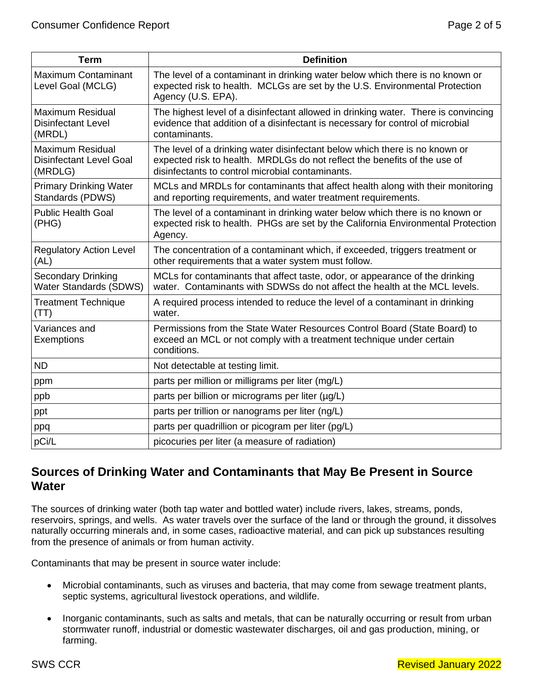| <b>Term</b>                                                          | <b>Definition</b>                                                                                                                                                                                            |
|----------------------------------------------------------------------|--------------------------------------------------------------------------------------------------------------------------------------------------------------------------------------------------------------|
| <b>Maximum Contaminant</b><br>Level Goal (MCLG)                      | The level of a contaminant in drinking water below which there is no known or<br>expected risk to health. MCLGs are set by the U.S. Environmental Protection<br>Agency (U.S. EPA).                           |
| <b>Maximum Residual</b><br><b>Disinfectant Level</b><br>(MRDL)       | The highest level of a disinfectant allowed in drinking water. There is convincing<br>evidence that addition of a disinfectant is necessary for control of microbial<br>contaminants.                        |
| <b>Maximum Residual</b><br><b>Disinfectant Level Goal</b><br>(MRDLG) | The level of a drinking water disinfectant below which there is no known or<br>expected risk to health. MRDLGs do not reflect the benefits of the use of<br>disinfectants to control microbial contaminants. |
| <b>Primary Drinking Water</b><br>Standards (PDWS)                    | MCLs and MRDLs for contaminants that affect health along with their monitoring<br>and reporting requirements, and water treatment requirements.                                                              |
| <b>Public Health Goal</b><br>(PHG)                                   | The level of a contaminant in drinking water below which there is no known or<br>expected risk to health. PHGs are set by the California Environmental Protection<br>Agency.                                 |
| <b>Regulatory Action Level</b><br>(AL)                               | The concentration of a contaminant which, if exceeded, triggers treatment or<br>other requirements that a water system must follow.                                                                          |
| <b>Secondary Drinking</b><br><b>Water Standards (SDWS)</b>           | MCLs for contaminants that affect taste, odor, or appearance of the drinking<br>water. Contaminants with SDWSs do not affect the health at the MCL levels.                                                   |
| <b>Treatment Technique</b><br>(TT)                                   | A required process intended to reduce the level of a contaminant in drinking<br>water.                                                                                                                       |
| Variances and<br>Exemptions                                          | Permissions from the State Water Resources Control Board (State Board) to<br>exceed an MCL or not comply with a treatment technique under certain<br>conditions.                                             |
| <b>ND</b>                                                            | Not detectable at testing limit.                                                                                                                                                                             |
| ppm                                                                  | parts per million or milligrams per liter (mg/L)                                                                                                                                                             |
| ppb                                                                  | parts per billion or micrograms per liter (µg/L)                                                                                                                                                             |
| ppt                                                                  | parts per trillion or nanograms per liter (ng/L)                                                                                                                                                             |
| ppq                                                                  | parts per quadrillion or picogram per liter (pg/L)                                                                                                                                                           |
| pCi/L                                                                | picocuries per liter (a measure of radiation)                                                                                                                                                                |

### **Sources of Drinking Water and Contaminants that May Be Present in Source Water**

The sources of drinking water (both tap water and bottled water) include rivers, lakes, streams, ponds, reservoirs, springs, and wells. As water travels over the surface of the land or through the ground, it dissolves naturally occurring minerals and, in some cases, radioactive material, and can pick up substances resulting from the presence of animals or from human activity.

Contaminants that may be present in source water include:

- Microbial contaminants, such as viruses and bacteria, that may come from sewage treatment plants, septic systems, agricultural livestock operations, and wildlife.
- Inorganic contaminants, such as salts and metals, that can be naturally occurring or result from urban stormwater runoff, industrial or domestic wastewater discharges, oil and gas production, mining, or farming.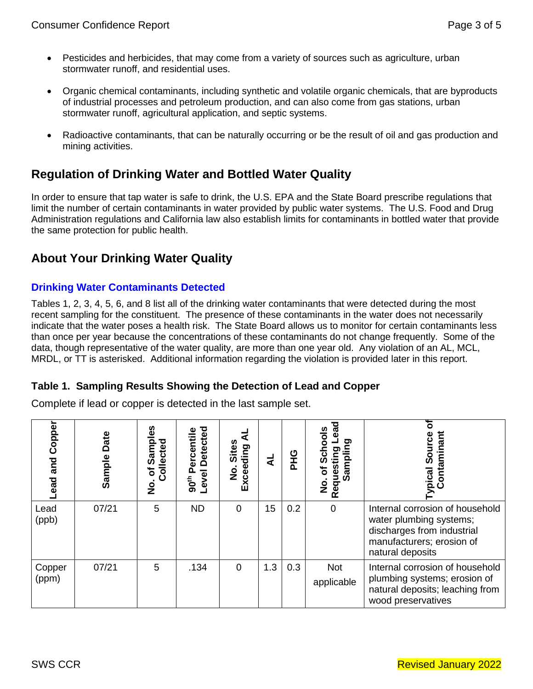- Pesticides and herbicides, that may come from a variety of sources such as agriculture, urban stormwater runoff, and residential uses.
- Organic chemical contaminants, including synthetic and volatile organic chemicals, that are byproducts of industrial processes and petroleum production, and can also come from gas stations, urban stormwater runoff, agricultural application, and septic systems.
- Radioactive contaminants, that can be naturally occurring or be the result of oil and gas production and mining activities.

### **Regulation of Drinking Water and Bottled Water Quality**

In order to ensure that tap water is safe to drink, the U.S. EPA and the State Board prescribe regulations that limit the number of certain contaminants in water provided by public water systems. The U.S. Food and Drug Administration regulations and California law also establish limits for contaminants in bottled water that provide the same protection for public health.

### **About Your Drinking Water Quality**

### **Drinking Water Contaminants Detected**

Tables 1, 2, 3, 4, 5, 6, and 8 list all of the drinking water contaminants that were detected during the most recent sampling for the constituent. The presence of these contaminants in the water does not necessarily indicate that the water poses a health risk. The State Board allows us to monitor for certain contaminants less than once per year because the concentrations of these contaminants do not change frequently. Some of the data, though representative of the water quality, are more than one year old. Any violation of an AL, MCL, MRDL, or TT is asterisked. Additional information regarding the violation is provided later in this report.

#### **Table 1. Sampling Results Showing the Detection of Lead and Copper**

Complete if lead or copper is detected in the last sample set.

| Copper<br>and<br>ead | Date<br>Sample | Sampl<br>Collected<br>ځ<br>ş | <b>Detected</b><br>ercentile<br>Ⴍ<br>Level<br>90 <sup>th</sup> | Sites<br>Exceeding<br>o<br>Z |     | <b>OHA</b> | pea<br><u>ဗိ</u><br>ਾ<br>O)<br>Reques<br>٥<br>Z | <i>r</i> pical Source<br>Contaminant                                                                                                      |
|----------------------|----------------|------------------------------|----------------------------------------------------------------|------------------------------|-----|------------|-------------------------------------------------|-------------------------------------------------------------------------------------------------------------------------------------------|
| Lead<br>(ppb)        | 07/21          | 5                            | <b>ND</b>                                                      | 0                            | 15  | 0.2        | $\mathbf 0$                                     | Internal corrosion of household<br>water plumbing systems;<br>discharges from industrial<br>manufacturers; erosion of<br>natural deposits |
| Copper<br>(ppm)      | 07/21          | 5                            | .134                                                           | $\Omega$                     | 1.3 | 0.3        | <b>Not</b><br>applicable                        | Internal corrosion of household<br>plumbing systems; erosion of<br>natural deposits; leaching from<br>wood preservatives                  |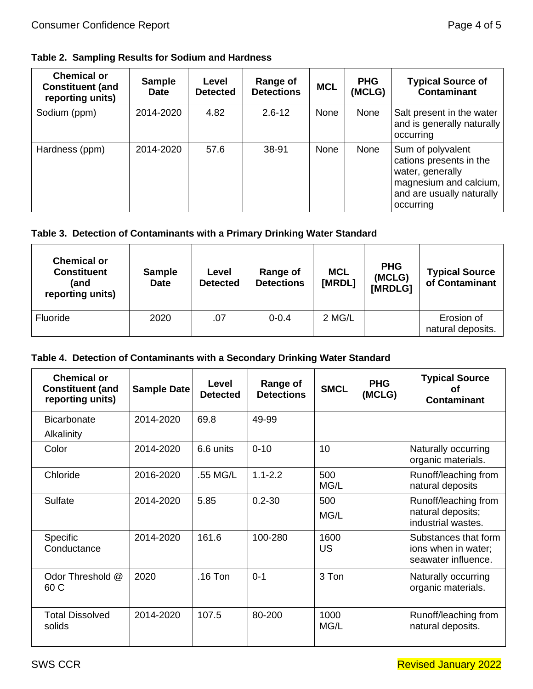**Table 2. Sampling Results for Sodium and Hardness**

| <b>Chemical or</b><br><b>Constituent (and</b><br>reporting units) | <b>Sample</b><br><b>Date</b> | Level<br><b>Detected</b> | Range of<br><b>Detections</b> | <b>MCL</b> | <b>PHG</b><br>(MCLG) | <b>Typical Source of</b><br><b>Contaminant</b>                                                                                       |
|-------------------------------------------------------------------|------------------------------|--------------------------|-------------------------------|------------|----------------------|--------------------------------------------------------------------------------------------------------------------------------------|
| Sodium (ppm)                                                      | 2014-2020                    | 4.82                     | $2.6 - 12$                    | None       | None                 | Salt present in the water<br>and is generally naturally<br>occurring                                                                 |
| Hardness (ppm)                                                    | 2014-2020                    | 57.6                     | 38-91                         | None       | None                 | Sum of polyvalent<br>cations presents in the<br>water, generally<br>magnesium and calcium,<br>and are usually naturally<br>occurring |

### **Table 3. Detection of Contaminants with a Primary Drinking Water Standard**

| <b>Chemical or</b><br><b>Constituent</b><br>(and<br>reporting units) | <b>Sample</b><br><b>Date</b> | Level<br><b>Detected</b> | Range of<br><b>Detections</b> | <b>MCL</b><br>[MRDL] | <b>PHG</b><br>(MCLG)<br>[MRDLG] | <b>Typical Source</b><br>of Contaminant |
|----------------------------------------------------------------------|------------------------------|--------------------------|-------------------------------|----------------------|---------------------------------|-----------------------------------------|
| Fluoride                                                             | 2020                         | .07                      | $0 - 0.4$                     | 2 MG/L               |                                 | Erosion of<br>natural deposits.         |

#### **Table 4. Detection of Contaminants with a Secondary Drinking Water Standard**

| <b>Chemical or</b><br><b>Constituent (and</b><br>reporting units) | <b>Sample Date</b> | Level<br><b>Detected</b> | Range of<br><b>Detections</b> | <b>SMCL</b>       | <b>PHG</b><br>(MCLG) | <b>Typical Source</b><br>Ωt<br><b>Contaminant</b>                  |
|-------------------------------------------------------------------|--------------------|--------------------------|-------------------------------|-------------------|----------------------|--------------------------------------------------------------------|
| <b>Bicarbonate</b>                                                | 2014-2020          | 69.8                     | 49-99                         |                   |                      |                                                                    |
| Alkalinity                                                        |                    |                          |                               |                   |                      |                                                                    |
| Color                                                             | 2014-2020          | 6.6 units                | $0 - 10$                      | 10                |                      | Naturally occurring<br>organic materials.                          |
| Chloride                                                          | 2016-2020          | .55 MG/L                 | $1.1 - 2.2$                   | 500<br>MG/L       |                      | Runoff/leaching from<br>natural deposits                           |
| Sulfate                                                           | 2014-2020          | 5.85                     | $0.2 - 30$                    | 500<br>MG/L       |                      | Runoff/leaching from<br>natural deposits;<br>industrial wastes.    |
| Specific<br>Conductance                                           | 2014-2020          | 161.6                    | 100-280                       | 1600<br><b>US</b> |                      | Substances that form<br>ions when in water;<br>seawater influence. |
| Odor Threshold @<br>60 C                                          | 2020               | $.16$ Ton                | $0 - 1$                       | 3 Ton             |                      | Naturally occurring<br>organic materials.                          |
| <b>Total Dissolved</b><br>solids                                  | 2014-2020          | 107.5                    | 80-200                        | 1000<br>MG/L      |                      | Runoff/leaching from<br>natural deposits.                          |